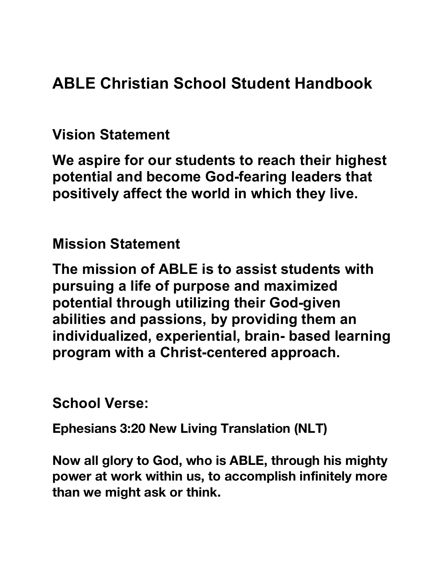**ABLE Christian School Student Handbook** 

**Vision Statement** 

**We aspire for our students to reach their highest potential and become God-fearing leaders that positively affect the world in which they live.** 

**Mission Statement** 

**The mission of ABLE is to assist students with pursuing a life of purpose and maximized potential through utilizing their God-given abilities and passions, by providing them an individualized, experiential, brain- based learning program with a Christ-centered approach.** 

**School Verse:** 

**Ephesians 3:20 New Living Translation (NLT)**

**Now all glory to God, who is ABLE, through his mighty power at work within us, to accomplish infinitely more than we might ask or think.**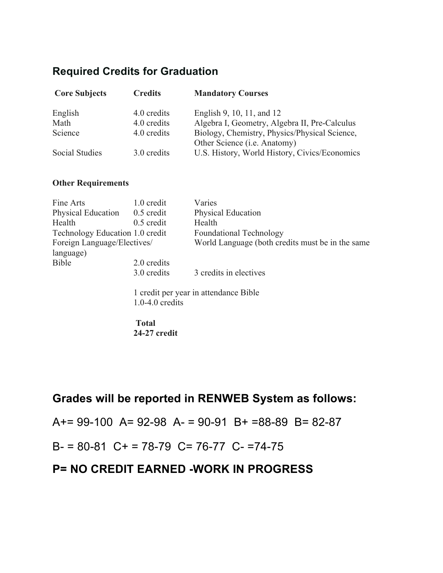#### **Required Credits for Graduation**

| <b>Core Subjects</b> | <b>Credits</b> | <b>Mandatory Courses</b>                                                              |  |  |  |  |
|----------------------|----------------|---------------------------------------------------------------------------------------|--|--|--|--|
| English              | 4.0 credits    | English 9, 10, 11, and 12                                                             |  |  |  |  |
| Math                 | 4.0 credits    | Algebra I, Geometry, Algebra II, Pre-Calculus                                         |  |  |  |  |
| Science              | 4.0 credits    | Biology, Chemistry, Physics/Physical Science,<br>Other Science ( <i>i.e.</i> Anatomy) |  |  |  |  |
| Social Studies       | 3.0 credits    | U.S. History, World History, Civics/Economics                                         |  |  |  |  |

#### **Other Requirements**

| Fine Arts                       | 1.0 credit   | Varies                                            |  |  |  |  |
|---------------------------------|--------------|---------------------------------------------------|--|--|--|--|
| <b>Physical Education</b>       | $0.5$ credit | <b>Physical Education</b>                         |  |  |  |  |
| Health                          | $0.5$ credit | Health                                            |  |  |  |  |
| Technology Education 1.0 credit |              | <b>Foundational Technology</b>                    |  |  |  |  |
| Foreign Language/Electives/     |              | World Language (both credits must be in the same) |  |  |  |  |
| language)                       |              |                                                   |  |  |  |  |
| <b>Bible</b>                    | 2.0 credits  |                                                   |  |  |  |  |
|                                 | 3.0 credits  | 3 credits in electives                            |  |  |  |  |
|                                 |              |                                                   |  |  |  |  |

1 credit per year in attendance Bible 1.0-4.0 credits

#### **Total 24-27 credit**

### **Grades will be reported in RENWEB System as follows:**

A+= 99-100 A= 92-98 A- = 90-91 B+ =88-89 B= 82-87

 $B = 80-81$  C + = 78-79 C = 76-77 C - = 74-75

### **P= NO CREDIT EARNED -WORK IN PROGRESS**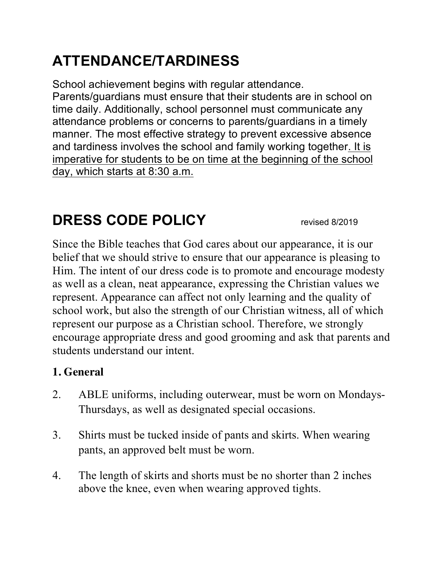# **ATTENDANCE/TARDINESS**

School achievement begins with regular attendance. Parents/guardians must ensure that their students are in school on time daily. Additionally, school personnel must communicate any attendance problems or concerns to parents/guardians in a timely manner. The most effective strategy to prevent excessive absence and tardiness involves the school and family working together. It is imperative for students to be on time at the beginning of the school day, which starts at 8:30 a.m.

## **DRESS CODE POLICY** revised 8/2019

Since the Bible teaches that God cares about our appearance, it is our belief that we should strive to ensure that our appearance is pleasing to Him. The intent of our dress code is to promote and encourage modesty as well as a clean, neat appearance, expressing the Christian values we represent. Appearance can affect not only learning and the quality of school work, but also the strength of our Christian witness, all of which represent our purpose as a Christian school. Therefore, we strongly encourage appropriate dress and good grooming and ask that parents and students understand our intent.

### **1. General**

- 2. ABLE uniforms, including outerwear, must be worn on Mondays-Thursdays, as well as designated special occasions.
- 3. Shirts must be tucked inside of pants and skirts. When wearing pants, an approved belt must be worn.
- 4. The length of skirts and shorts must be no shorter than 2 inches above the knee, even when wearing approved tights.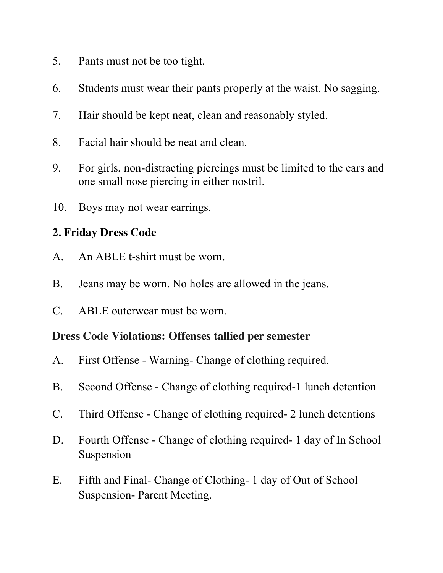- 5. Pants must not be too tight.
- 6. Students must wear their pants properly at the waist. No sagging.
- 7. Hair should be kept neat, clean and reasonably styled.
- 8. Facial hair should be neat and clean.
- 9. For girls, non-distracting piercings must be limited to the ears and one small nose piercing in either nostril.
- 10. Boys may not wear earrings.

#### **2. Friday Dress Code**

- A. An ABLE t-shirt must be worn.
- B. Jeans may be worn. No holes are allowed in the jeans.
- C. ABLE outerwear must be worn.

#### **Dress Code Violations: Offenses tallied per semester**

- A. First Offense Warning- Change of clothing required.
- B. Second Offense Change of clothing required-1 lunch detention
- C. Third Offense Change of clothing required- 2 lunch detentions
- D. Fourth Offense Change of clothing required- 1 day of In School Suspension
- E. Fifth and Final- Change of Clothing- 1 day of Out of School Suspension- Parent Meeting.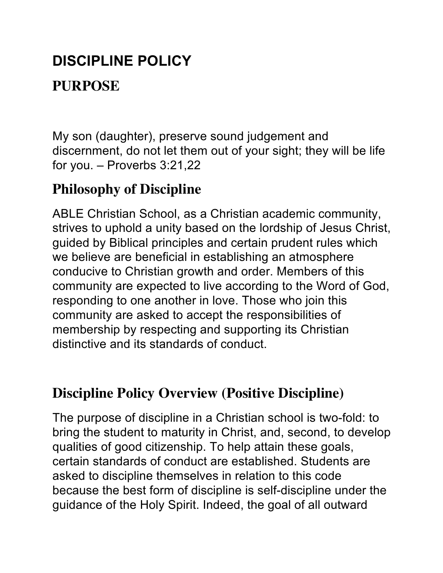## **DISCIPLINE POLICY**

## **PURPOSE**

My son (daughter), preserve sound judgement and discernment, do not let them out of your sight; they will be life for you. – Proverbs 3:21,22

## **Philosophy of Discipline**

ABLE Christian School, as a Christian academic community, strives to uphold a unity based on the lordship of Jesus Christ, guided by Biblical principles and certain prudent rules which we believe are beneficial in establishing an atmosphere conducive to Christian growth and order. Members of this community are expected to live according to the Word of God, responding to one another in love. Those who join this community are asked to accept the responsibilities of membership by respecting and supporting its Christian distinctive and its standards of conduct.

## **Discipline Policy Overview (Positive Discipline)**

The purpose of discipline in a Christian school is two-fold: to bring the student to maturity in Christ, and, second, to develop qualities of good citizenship. To help attain these goals, certain standards of conduct are established. Students are asked to discipline themselves in relation to this code because the best form of discipline is self-discipline under the guidance of the Holy Spirit. Indeed, the goal of all outward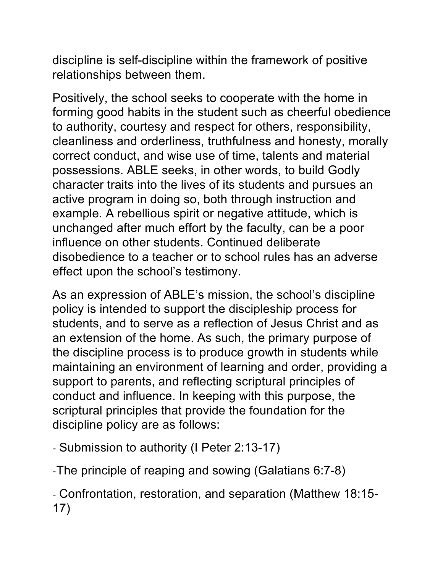discipline is self-discipline within the framework of positive relationships between them.

Positively, the school seeks to cooperate with the home in forming good habits in the student such as cheerful obedience to authority, courtesy and respect for others, responsibility, cleanliness and orderliness, truthfulness and honesty, morally correct conduct, and wise use of time, talents and material possessions. ABLE seeks, in other words, to build Godly character traits into the lives of its students and pursues an active program in doing so, both through instruction and example. A rebellious spirit or negative attitude, which is unchanged after much effort by the faculty, can be a poor influence on other students. Continued deliberate disobedience to a teacher or to school rules has an adverse effect upon the school's testimony.

As an expression of ABLE's mission, the school's discipline policy is intended to support the discipleship process for students, and to serve as a reflection of Jesus Christ and as an extension of the home. As such, the primary purpose of the discipline process is to produce growth in students while maintaining an environment of learning and order, providing a support to parents, and reflecting scriptural principles of conduct and influence. In keeping with this purpose, the scriptural principles that provide the foundation for the discipline policy are as follows:

- Submission to authority (I Peter 2:13-17)

-The principle of reaping and sowing (Galatians 6:7-8)

- Confrontation, restoration, and separation (Matthew 18:15- 17)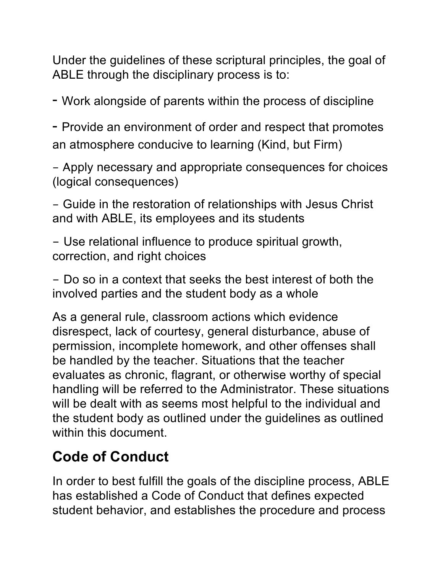Under the guidelines of these scriptural principles, the goal of ABLE through the disciplinary process is to:

- Work alongside of parents within the process of discipline

- Provide an environment of order and respect that promotes an atmosphere conducive to learning (Kind, but Firm)

- Apply necessary and appropriate consequences for choices (logical consequences)

- Guide in the restoration of relationships with Jesus Christ and with ABLE, its employees and its students

- Use relational influence to produce spiritual growth, correction, and right choices

- Do so in a context that seeks the best interest of both the involved parties and the student body as a whole

As a general rule, classroom actions which evidence disrespect, lack of courtesy, general disturbance, abuse of permission, incomplete homework, and other offenses shall be handled by the teacher. Situations that the teacher evaluates as chronic, flagrant, or otherwise worthy of special handling will be referred to the Administrator. These situations will be dealt with as seems most helpful to the individual and the student body as outlined under the guidelines as outlined within this document.

## **Code of Conduct**

In order to best fulfill the goals of the discipline process, ABLE has established a Code of Conduct that defines expected student behavior, and establishes the procedure and process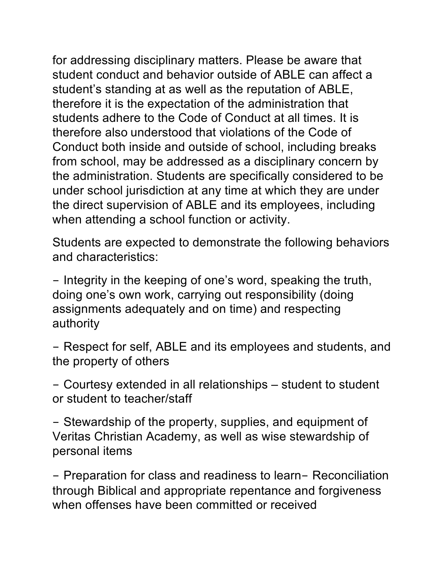for addressing disciplinary matters. Please be aware that student conduct and behavior outside of ABLE can affect a student's standing at as well as the reputation of ABLE, therefore it is the expectation of the administration that students adhere to the Code of Conduct at all times. It is therefore also understood that violations of the Code of Conduct both inside and outside of school, including breaks from school, may be addressed as a disciplinary concern by the administration. Students are specifically considered to be under school jurisdiction at any time at which they are under the direct supervision of ABLE and its employees, including when attending a school function or activity.

Students are expected to demonstrate the following behaviors and characteristics:

- Integrity in the keeping of one's word, speaking the truth, doing one's own work, carrying out responsibility (doing assignments adequately and on time) and respecting authority

- Respect for self, ABLE and its employees and students, and the property of others

- Courtesy extended in all relationships – student to student or student to teacher/staff

- Stewardship of the property, supplies, and equipment of Veritas Christian Academy, as well as wise stewardship of personal items

- Preparation for class and readiness to learn- Reconciliation through Biblical and appropriate repentance and forgiveness when offenses have been committed or received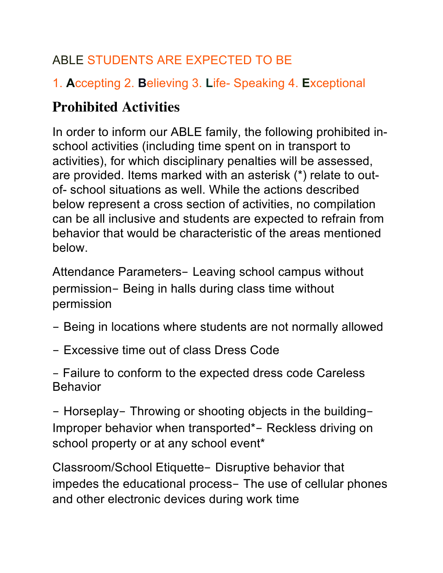## ABLE STUDENTS ARE EXPECTED TO BE

## 1. **A**ccepting 2. **B**elieving 3. **L**ife- Speaking 4. **E**xceptional

## **Prohibited Activities**

In order to inform our ABLE family, the following prohibited inschool activities (including time spent on in transport to activities), for which disciplinary penalties will be assessed, are provided. Items marked with an asterisk (\*) relate to outof- school situations as well. While the actions described below represent a cross section of activities, no compilation can be all inclusive and students are expected to refrain from behavior that would be characteristic of the areas mentioned below.

Attendance Parameters- Leaving school campus without permission- Being in halls during class time without permission

- Being in locations where students are not normally allowed
- Excessive time out of class Dress Code

- Failure to conform to the expected dress code Careless Behavior

- Horseplay- Throwing or shooting objects in the building-Improper behavior when transported\*- Reckless driving on school property or at any school event\*

Classroom/School Etiquette- Disruptive behavior that impedes the educational process- The use of cellular phones and other electronic devices during work time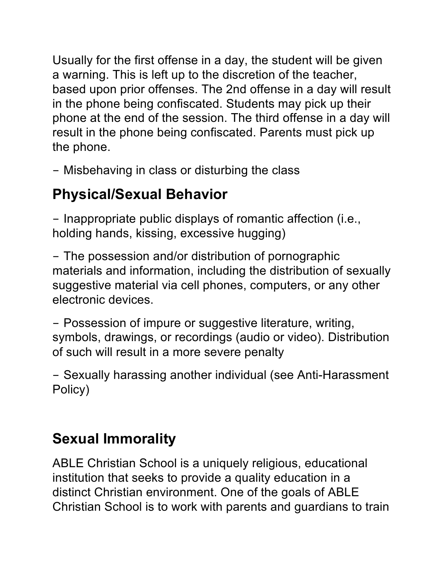Usually for the first offense in a day, the student will be given a warning. This is left up to the discretion of the teacher, based upon prior offenses. The 2nd offense in a day will result in the phone being confiscated. Students may pick up their phone at the end of the session. The third offense in a day will result in the phone being confiscated. Parents must pick up the phone.

- Misbehaving in class or disturbing the class

## **Physical/Sexual Behavior**

- Inappropriate public displays of romantic affection (i.e., holding hands, kissing, excessive hugging)

- The possession and/or distribution of pornographic materials and information, including the distribution of sexually suggestive material via cell phones, computers, or any other electronic devices.

- Possession of impure or suggestive literature, writing, symbols, drawings, or recordings (audio or video). Distribution of such will result in a more severe penalty

- Sexually harassing another individual (see Anti-Harassment Policy)

## **Sexual Immorality**

ABLE Christian School is a uniquely religious, educational institution that seeks to provide a quality education in a distinct Christian environment. One of the goals of ABLE Christian School is to work with parents and guardians to train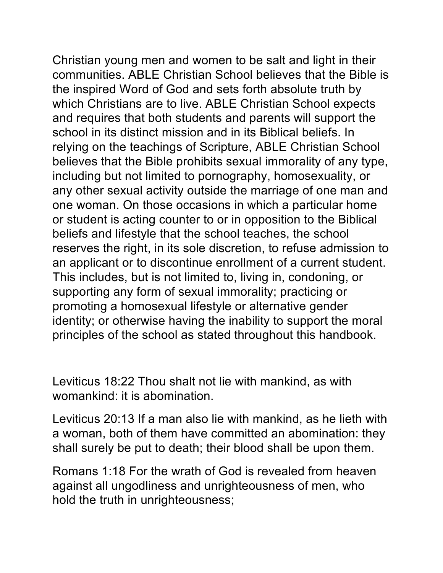Christian young men and women to be salt and light in their communities. ABLE Christian School believes that the Bible is the inspired Word of God and sets forth absolute truth by which Christians are to live. ABLE Christian School expects and requires that both students and parents will support the school in its distinct mission and in its Biblical beliefs. In relying on the teachings of Scripture, ABLE Christian School believes that the Bible prohibits sexual immorality of any type, including but not limited to pornography, homosexuality, or any other sexual activity outside the marriage of one man and one woman. On those occasions in which a particular home or student is acting counter to or in opposition to the Biblical beliefs and lifestyle that the school teaches, the school reserves the right, in its sole discretion, to refuse admission to an applicant or to discontinue enrollment of a current student. This includes, but is not limited to, living in, condoning, or supporting any form of sexual immorality; practicing or promoting a homosexual lifestyle or alternative gender identity; or otherwise having the inability to support the moral principles of the school as stated throughout this handbook.

Leviticus 18:22 Thou shalt not lie with mankind, as with womankind: it is abomination.

Leviticus 20:13 If a man also lie with mankind, as he lieth with a woman, both of them have committed an abomination: they shall surely be put to death; their blood shall be upon them.

Romans 1:18 For the wrath of God is revealed from heaven against all ungodliness and unrighteousness of men, who hold the truth in unrighteousness;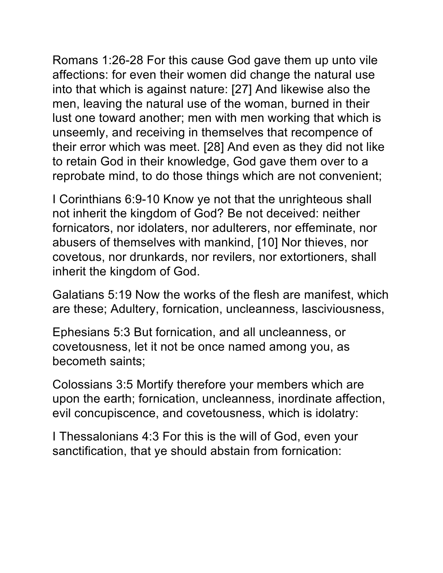Romans 1:26-28 For this cause God gave them up unto vile affections: for even their women did change the natural use into that which is against nature: [27] And likewise also the men, leaving the natural use of the woman, burned in their lust one toward another; men with men working that which is unseemly, and receiving in themselves that recompence of their error which was meet. [28] And even as they did not like to retain God in their knowledge, God gave them over to a reprobate mind, to do those things which are not convenient;

I Corinthians 6:9-10 Know ye not that the unrighteous shall not inherit the kingdom of God? Be not deceived: neither fornicators, nor idolaters, nor adulterers, nor effeminate, nor abusers of themselves with mankind, [10] Nor thieves, nor covetous, nor drunkards, nor revilers, nor extortioners, shall inherit the kingdom of God.

Galatians 5:19 Now the works of the flesh are manifest, which are these; Adultery, fornication, uncleanness, lasciviousness,

Ephesians 5:3 But fornication, and all uncleanness, or covetousness, let it not be once named among you, as becometh saints;

Colossians 3:5 Mortify therefore your members which are upon the earth; fornication, uncleanness, inordinate affection, evil concupiscence, and covetousness, which is idolatry:

I Thessalonians 4:3 For this is the will of God, even your sanctification, that ye should abstain from fornication: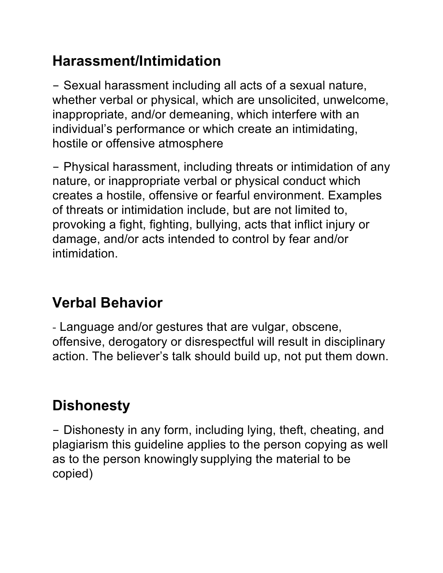## **Harassment/Intimidation**

- Sexual harassment including all acts of a sexual nature, whether verbal or physical, which are unsolicited, unwelcome, inappropriate, and/or demeaning, which interfere with an individual's performance or which create an intimidating, hostile or offensive atmosphere

- Physical harassment, including threats or intimidation of any nature, or inappropriate verbal or physical conduct which creates a hostile, offensive or fearful environment. Examples of threats or intimidation include, but are not limited to, provoking a fight, fighting, bullying, acts that inflict injury or damage, and/or acts intended to control by fear and/or intimidation.

## **Verbal Behavior**

- Language and/or gestures that are vulgar, obscene, offensive, derogatory or disrespectful will result in disciplinary action. The believer's talk should build up, not put them down.

# **Dishonesty**

- Dishonesty in any form, including lying, theft, cheating, and plagiarism this guideline applies to the person copying as well as to the person knowingly supplying the material to be copied)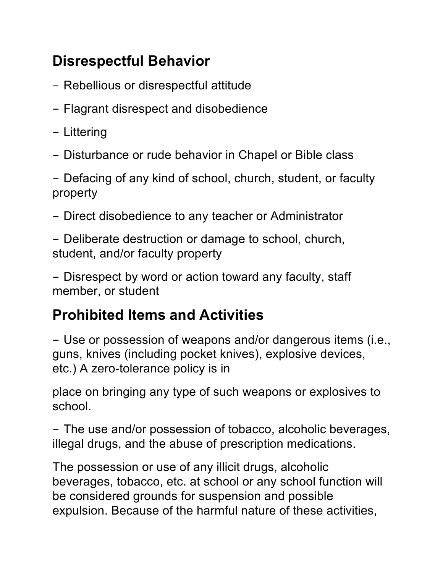## **Disrespectful Behavior**

- Rebellious or disrespectful attitude
- Flagrant disrespect and disobedience
- Littering
- Disturbance or rude behavior in Chapel or Bible class

- Defacing of any kind of school, church, student, or faculty property

- Direct disobedience to any teacher or Administrator

- Deliberate destruction or damage to school, church, student, and/or faculty property

- Disrespect by word or action toward any faculty, staff member, or student

## **Prohibited Items and Activities**

- Use or possession of weapons and/or dangerous items (i.e., guns, knives (including pocket knives), explosive devices, etc.) A zero-tolerance policy is in

place on bringing any type of such weapons or explosives to school.

- The use and/or possession of tobacco, alcoholic beverages, illegal drugs, and the abuse of prescription medications.

The possession or use of any illicit drugs, alcoholic beverages, tobacco, etc. at school or any school function will be considered grounds for suspension and possible expulsion. Because of the harmful nature of these activities,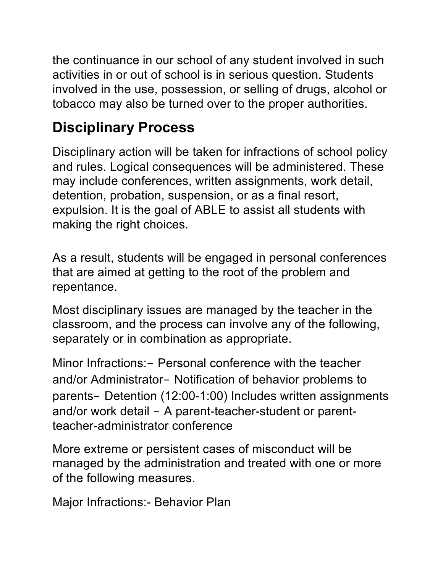the continuance in our school of any student involved in such activities in or out of school is in serious question. Students involved in the use, possession, or selling of drugs, alcohol or tobacco may also be turned over to the proper authorities.

## **Disciplinary Process**

Disciplinary action will be taken for infractions of school policy and rules. Logical consequences will be administered. These may include conferences, written assignments, work detail, detention, probation, suspension, or as a final resort, expulsion. It is the goal of ABLE to assist all students with making the right choices.

As a result, students will be engaged in personal conferences that are aimed at getting to the root of the problem and repentance.

Most disciplinary issues are managed by the teacher in the classroom, and the process can involve any of the following, separately or in combination as appropriate.

Minor Infractions:- Personal conference with the teacher and/or Administrator- Notification of behavior problems to parents- Detention (12:00-1:00) Includes written assignments and/or work detail - A parent-teacher-student or parentteacher-administrator conference

More extreme or persistent cases of misconduct will be managed by the administration and treated with one or more of the following measures.

Major Infractions:- Behavior Plan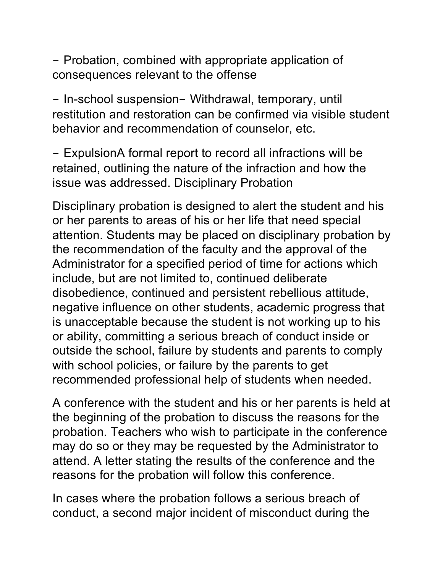- Probation, combined with appropriate application of consequences relevant to the offense

- In-school suspension- Withdrawal, temporary, until restitution and restoration can be confirmed via visible student behavior and recommendation of counselor, etc.

- ExpulsionA formal report to record all infractions will be retained, outlining the nature of the infraction and how the issue was addressed. Disciplinary Probation

Disciplinary probation is designed to alert the student and his or her parents to areas of his or her life that need special attention. Students may be placed on disciplinary probation by the recommendation of the faculty and the approval of the Administrator for a specified period of time for actions which include, but are not limited to, continued deliberate disobedience, continued and persistent rebellious attitude, negative influence on other students, academic progress that is unacceptable because the student is not working up to his or ability, committing a serious breach of conduct inside or outside the school, failure by students and parents to comply with school policies, or failure by the parents to get recommended professional help of students when needed.

A conference with the student and his or her parents is held at the beginning of the probation to discuss the reasons for the probation. Teachers who wish to participate in the conference may do so or they may be requested by the Administrator to attend. A letter stating the results of the conference and the reasons for the probation will follow this conference.

In cases where the probation follows a serious breach of conduct, a second major incident of misconduct during the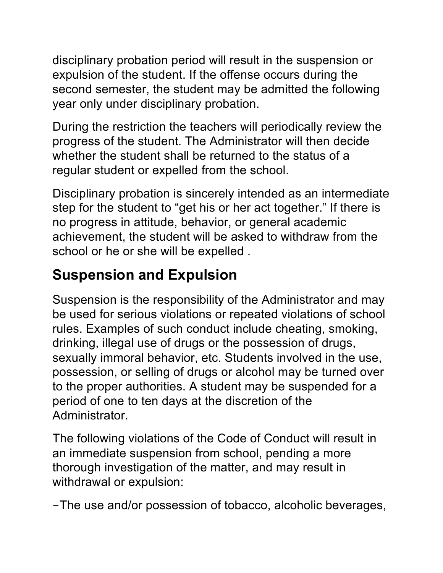disciplinary probation period will result in the suspension or expulsion of the student. If the offense occurs during the second semester, the student may be admitted the following year only under disciplinary probation.

During the restriction the teachers will periodically review the progress of the student. The Administrator will then decide whether the student shall be returned to the status of a regular student or expelled from the school.

Disciplinary probation is sincerely intended as an intermediate step for the student to "get his or her act together." If there is no progress in attitude, behavior, or general academic achievement, the student will be asked to withdraw from the school or he or she will be expelled .

## **Suspension and Expulsion**

Suspension is the responsibility of the Administrator and may be used for serious violations or repeated violations of school rules. Examples of such conduct include cheating, smoking, drinking, illegal use of drugs or the possession of drugs, sexually immoral behavior, etc. Students involved in the use, possession, or selling of drugs or alcohol may be turned over to the proper authorities. A student may be suspended for a period of one to ten days at the discretion of the Administrator.

The following violations of the Code of Conduct will result in an immediate suspension from school, pending a more thorough investigation of the matter, and may result in withdrawal or expulsion:

-The use and/or possession of tobacco, alcoholic beverages,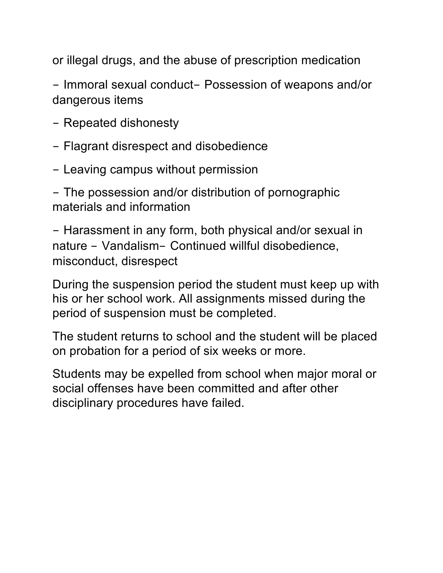or illegal drugs, and the abuse of prescription medication

- Immoral sexual conduct- Possession of weapons and/or dangerous items

- Repeated dishonesty
- Flagrant disrespect and disobedience
- Leaving campus without permission

- The possession and/or distribution of pornographic materials and information

- Harassment in any form, both physical and/or sexual in nature - Vandalism- Continued willful disobedience, misconduct, disrespect

During the suspension period the student must keep up with his or her school work. All assignments missed during the period of suspension must be completed.

The student returns to school and the student will be placed on probation for a period of six weeks or more.

Students may be expelled from school when major moral or social offenses have been committed and after other disciplinary procedures have failed.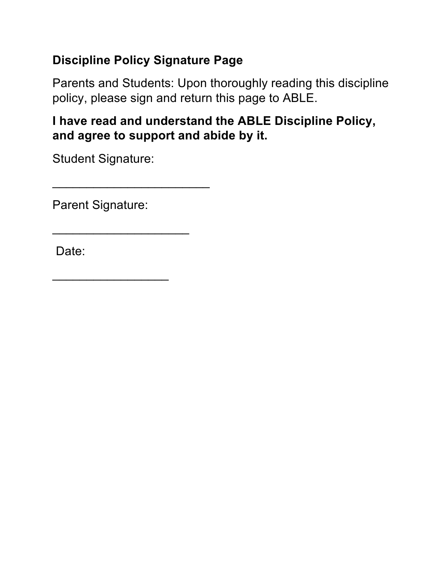### **Discipline Policy Signature Page**

Parents and Students: Upon thoroughly reading this discipline policy, please sign and return this page to ABLE.

### **I have read and understand the ABLE Discipline Policy, and agree to support and abide by it.**

Student Signature:

 $\overline{\phantom{a}}$  , and the set of the set of the set of the set of the set of the set of the set of the set of the set of the set of the set of the set of the set of the set of the set of the set of the set of the set of the s

\_\_\_\_\_\_\_\_\_\_\_\_\_\_\_\_\_\_\_\_

 $\overline{\phantom{a}}$ 

Parent Signature:

Date: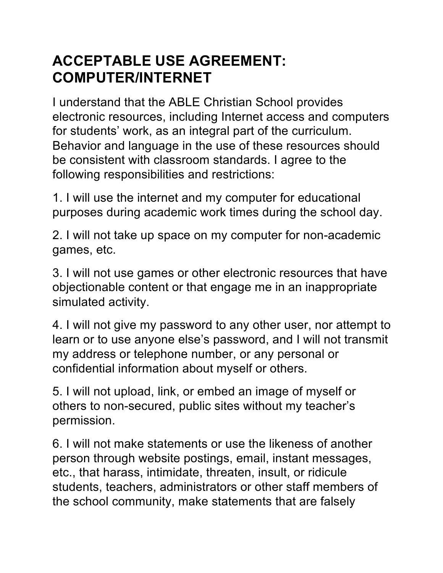## **ACCEPTABLE USE AGREEMENT: COMPUTER/INTERNET**

I understand that the ABLE Christian School provides electronic resources, including Internet access and computers for students' work, as an integral part of the curriculum. Behavior and language in the use of these resources should be consistent with classroom standards. I agree to the following responsibilities and restrictions:

1. I will use the internet and my computer for educational purposes during academic work times during the school day.

2. I will not take up space on my computer for non-academic games, etc.

3. I will not use games or other electronic resources that have objectionable content or that engage me in an inappropriate simulated activity.

4. I will not give my password to any other user, nor attempt to learn or to use anyone else's password, and I will not transmit my address or telephone number, or any personal or confidential information about myself or others.

5. I will not upload, link, or embed an image of myself or others to non-secured, public sites without my teacher's permission.

6. I will not make statements or use the likeness of another person through website postings, email, instant messages, etc., that harass, intimidate, threaten, insult, or ridicule students, teachers, administrators or other staff members of the school community, make statements that are falsely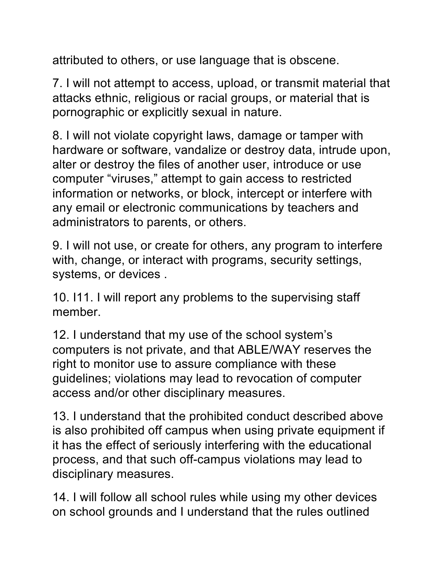attributed to others, or use language that is obscene.

7. I will not attempt to access, upload, or transmit material that attacks ethnic, religious or racial groups, or material that is pornographic or explicitly sexual in nature.

8. I will not violate copyright laws, damage or tamper with hardware or software, vandalize or destroy data, intrude upon, alter or destroy the files of another user, introduce or use computer "viruses," attempt to gain access to restricted information or networks, or block, intercept or interfere with any email or electronic communications by teachers and administrators to parents, or others.

9. I will not use, or create for others, any program to interfere with, change, or interact with programs, security settings, systems, or devices .

10. I11. I will report any problems to the supervising staff member.

12. I understand that my use of the school system's computers is not private, and that ABLE/WAY reserves the right to monitor use to assure compliance with these guidelines; violations may lead to revocation of computer access and/or other disciplinary measures.

13. I understand that the prohibited conduct described above is also prohibited off campus when using private equipment if it has the effect of seriously interfering with the educational process, and that such off-campus violations may lead to disciplinary measures.

14. I will follow all school rules while using my other devices on school grounds and I understand that the rules outlined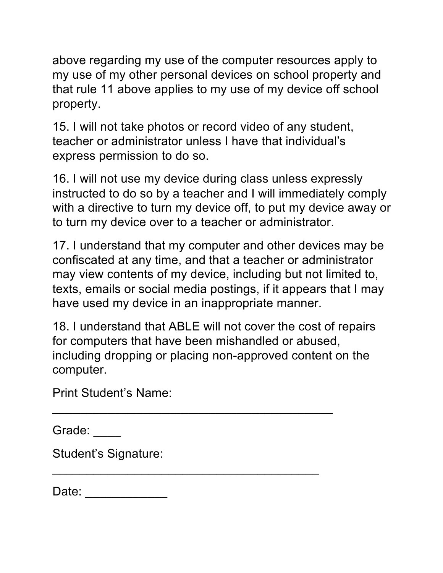above regarding my use of the computer resources apply to my use of my other personal devices on school property and that rule 11 above applies to my use of my device off school property.

15. I will not take photos or record video of any student, teacher or administrator unless I have that individual's express permission to do so.

16. I will not use my device during class unless expressly instructed to do so by a teacher and I will immediately comply with a directive to turn my device off, to put my device away or to turn my device over to a teacher or administrator.

17. I understand that my computer and other devices may be confiscated at any time, and that a teacher or administrator may view contents of my device, including but not limited to, texts, emails or social media postings, if it appears that I may have used my device in an inappropriate manner.

18. I understand that ABLE will not cover the cost of repairs for computers that have been mishandled or abused, including dropping or placing non-approved content on the computer.

 $\overline{\phantom{a}}$  , and the contract of the contract of the contract of the contract of the contract of the contract of the contract of the contract of the contract of the contract of the contract of the contract of the contrac

\_\_\_\_\_\_\_\_\_\_\_\_\_\_\_\_\_\_\_\_\_\_\_\_\_\_\_\_\_\_\_\_\_\_\_\_\_\_\_

Print Student's Name:

Grade:

Student's Signature:

| Date: |  |  |  |  |
|-------|--|--|--|--|
|       |  |  |  |  |